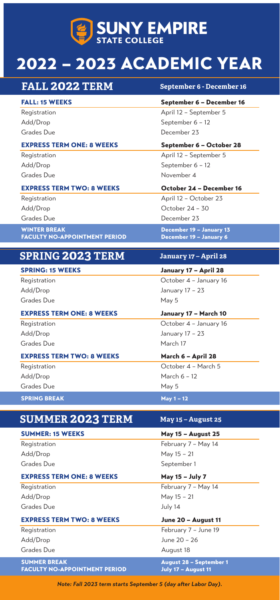

# 2022 – 2023 ACADEMIC YEAR

| <b>FALL: 15 WEEKS</b><br>September 6 - December 16<br>April 12 - September 5<br>Registration<br>September 6 - 12<br>Add/Drop<br>Grades Due<br>December 23<br><b>EXPRESS TERM ONE: 8 WEEKS</b><br>September 6 - October 28<br>April 12 - September 5<br>Registration<br>Add/Drop<br>September 6 - 12<br>Grades Due<br>November 4<br><b>EXPRESS TERM TWO: 8 WEEKS</b><br>October 24 - December 16<br>April 12 - October 23<br>Registration<br>October 24 - 30<br>Add/Drop<br>Grades Due<br>December 23<br><b>WINTER BREAK</b><br>December 19 - January 13<br><b>FACULTY NO-APPOINTMENT PERIOD</b><br>December 19 - January 6<br><b>SPRING 2023 TERM</b><br>January 17 - April 28<br><b>SPRING: 15 WEEKS</b><br>January 17 - April 28<br>October 4 - January 16<br>Registration<br>Add/Drop<br>January 17 - 23<br>Grades Due<br>May 5<br><b>EXPRESS TERM ONE: 8 WEEKS</b><br>January 17 - March 10<br>October 4 - January 16<br>Registration<br>Add/Drop<br>January 17 - 23<br>Grades Due<br>March 17<br><b>EXPRESS TERM TWO: 8 WEEKS</b><br>March 6 - April 28<br>October 4 - March 5<br>Registration<br>March 6 - 12<br>Add/Drop<br>Grades Due<br>May 5<br><b>SPRING BREAK</b><br><b>May 1-12</b><br><b>SUMMER 2023 TERM</b><br><b>May 15 - August 25</b><br><b>SUMMER: 15 WEEKS</b><br>May 15 - August 25<br>February 7 - May 14<br>Registration<br>May 15 - 21<br>Add/Drop<br>Grades Due<br>September 1<br><b>EXPRESS TERM ONE: 8 WEEKS</b><br>May 15 - July 7<br>February 7 - May 14<br>Registration<br>May 15 - 21<br>Add/Drop<br>Grades Due<br>July 14<br><b>EXPRESS TERM TWO: 8 WEEKS</b><br>June 20 - August 11<br>February 7 - June 19<br>Registration<br>June 20 - 26<br>Add/Drop<br>Grades Due<br>August 18 | <b>FALL 2022 TERM</b> | September 6 - December 16 |
|----------------------------------------------------------------------------------------------------------------------------------------------------------------------------------------------------------------------------------------------------------------------------------------------------------------------------------------------------------------------------------------------------------------------------------------------------------------------------------------------------------------------------------------------------------------------------------------------------------------------------------------------------------------------------------------------------------------------------------------------------------------------------------------------------------------------------------------------------------------------------------------------------------------------------------------------------------------------------------------------------------------------------------------------------------------------------------------------------------------------------------------------------------------------------------------------------------------------------------------------------------------------------------------------------------------------------------------------------------------------------------------------------------------------------------------------------------------------------------------------------------------------------------------------------------------------------------------------------------------------------------------------------------------------------------------------------------------------|-----------------------|---------------------------|
|                                                                                                                                                                                                                                                                                                                                                                                                                                                                                                                                                                                                                                                                                                                                                                                                                                                                                                                                                                                                                                                                                                                                                                                                                                                                                                                                                                                                                                                                                                                                                                                                                                                                                                                      |                       |                           |
|                                                                                                                                                                                                                                                                                                                                                                                                                                                                                                                                                                                                                                                                                                                                                                                                                                                                                                                                                                                                                                                                                                                                                                                                                                                                                                                                                                                                                                                                                                                                                                                                                                                                                                                      |                       |                           |
|                                                                                                                                                                                                                                                                                                                                                                                                                                                                                                                                                                                                                                                                                                                                                                                                                                                                                                                                                                                                                                                                                                                                                                                                                                                                                                                                                                                                                                                                                                                                                                                                                                                                                                                      |                       |                           |
|                                                                                                                                                                                                                                                                                                                                                                                                                                                                                                                                                                                                                                                                                                                                                                                                                                                                                                                                                                                                                                                                                                                                                                                                                                                                                                                                                                                                                                                                                                                                                                                                                                                                                                                      |                       |                           |
|                                                                                                                                                                                                                                                                                                                                                                                                                                                                                                                                                                                                                                                                                                                                                                                                                                                                                                                                                                                                                                                                                                                                                                                                                                                                                                                                                                                                                                                                                                                                                                                                                                                                                                                      |                       |                           |
|                                                                                                                                                                                                                                                                                                                                                                                                                                                                                                                                                                                                                                                                                                                                                                                                                                                                                                                                                                                                                                                                                                                                                                                                                                                                                                                                                                                                                                                                                                                                                                                                                                                                                                                      |                       |                           |
|                                                                                                                                                                                                                                                                                                                                                                                                                                                                                                                                                                                                                                                                                                                                                                                                                                                                                                                                                                                                                                                                                                                                                                                                                                                                                                                                                                                                                                                                                                                                                                                                                                                                                                                      |                       |                           |
|                                                                                                                                                                                                                                                                                                                                                                                                                                                                                                                                                                                                                                                                                                                                                                                                                                                                                                                                                                                                                                                                                                                                                                                                                                                                                                                                                                                                                                                                                                                                                                                                                                                                                                                      |                       |                           |
|                                                                                                                                                                                                                                                                                                                                                                                                                                                                                                                                                                                                                                                                                                                                                                                                                                                                                                                                                                                                                                                                                                                                                                                                                                                                                                                                                                                                                                                                                                                                                                                                                                                                                                                      |                       |                           |
|                                                                                                                                                                                                                                                                                                                                                                                                                                                                                                                                                                                                                                                                                                                                                                                                                                                                                                                                                                                                                                                                                                                                                                                                                                                                                                                                                                                                                                                                                                                                                                                                                                                                                                                      |                       |                           |
|                                                                                                                                                                                                                                                                                                                                                                                                                                                                                                                                                                                                                                                                                                                                                                                                                                                                                                                                                                                                                                                                                                                                                                                                                                                                                                                                                                                                                                                                                                                                                                                                                                                                                                                      |                       |                           |
|                                                                                                                                                                                                                                                                                                                                                                                                                                                                                                                                                                                                                                                                                                                                                                                                                                                                                                                                                                                                                                                                                                                                                                                                                                                                                                                                                                                                                                                                                                                                                                                                                                                                                                                      |                       |                           |
|                                                                                                                                                                                                                                                                                                                                                                                                                                                                                                                                                                                                                                                                                                                                                                                                                                                                                                                                                                                                                                                                                                                                                                                                                                                                                                                                                                                                                                                                                                                                                                                                                                                                                                                      |                       |                           |
|                                                                                                                                                                                                                                                                                                                                                                                                                                                                                                                                                                                                                                                                                                                                                                                                                                                                                                                                                                                                                                                                                                                                                                                                                                                                                                                                                                                                                                                                                                                                                                                                                                                                                                                      |                       |                           |
|                                                                                                                                                                                                                                                                                                                                                                                                                                                                                                                                                                                                                                                                                                                                                                                                                                                                                                                                                                                                                                                                                                                                                                                                                                                                                                                                                                                                                                                                                                                                                                                                                                                                                                                      |                       |                           |
|                                                                                                                                                                                                                                                                                                                                                                                                                                                                                                                                                                                                                                                                                                                                                                                                                                                                                                                                                                                                                                                                                                                                                                                                                                                                                                                                                                                                                                                                                                                                                                                                                                                                                                                      |                       |                           |
|                                                                                                                                                                                                                                                                                                                                                                                                                                                                                                                                                                                                                                                                                                                                                                                                                                                                                                                                                                                                                                                                                                                                                                                                                                                                                                                                                                                                                                                                                                                                                                                                                                                                                                                      |                       |                           |
|                                                                                                                                                                                                                                                                                                                                                                                                                                                                                                                                                                                                                                                                                                                                                                                                                                                                                                                                                                                                                                                                                                                                                                                                                                                                                                                                                                                                                                                                                                                                                                                                                                                                                                                      |                       |                           |
|                                                                                                                                                                                                                                                                                                                                                                                                                                                                                                                                                                                                                                                                                                                                                                                                                                                                                                                                                                                                                                                                                                                                                                                                                                                                                                                                                                                                                                                                                                                                                                                                                                                                                                                      |                       |                           |
|                                                                                                                                                                                                                                                                                                                                                                                                                                                                                                                                                                                                                                                                                                                                                                                                                                                                                                                                                                                                                                                                                                                                                                                                                                                                                                                                                                                                                                                                                                                                                                                                                                                                                                                      |                       |                           |
|                                                                                                                                                                                                                                                                                                                                                                                                                                                                                                                                                                                                                                                                                                                                                                                                                                                                                                                                                                                                                                                                                                                                                                                                                                                                                                                                                                                                                                                                                                                                                                                                                                                                                                                      |                       |                           |
|                                                                                                                                                                                                                                                                                                                                                                                                                                                                                                                                                                                                                                                                                                                                                                                                                                                                                                                                                                                                                                                                                                                                                                                                                                                                                                                                                                                                                                                                                                                                                                                                                                                                                                                      |                       |                           |
|                                                                                                                                                                                                                                                                                                                                                                                                                                                                                                                                                                                                                                                                                                                                                                                                                                                                                                                                                                                                                                                                                                                                                                                                                                                                                                                                                                                                                                                                                                                                                                                                                                                                                                                      |                       |                           |
|                                                                                                                                                                                                                                                                                                                                                                                                                                                                                                                                                                                                                                                                                                                                                                                                                                                                                                                                                                                                                                                                                                                                                                                                                                                                                                                                                                                                                                                                                                                                                                                                                                                                                                                      |                       |                           |
|                                                                                                                                                                                                                                                                                                                                                                                                                                                                                                                                                                                                                                                                                                                                                                                                                                                                                                                                                                                                                                                                                                                                                                                                                                                                                                                                                                                                                                                                                                                                                                                                                                                                                                                      |                       |                           |
|                                                                                                                                                                                                                                                                                                                                                                                                                                                                                                                                                                                                                                                                                                                                                                                                                                                                                                                                                                                                                                                                                                                                                                                                                                                                                                                                                                                                                                                                                                                                                                                                                                                                                                                      |                       |                           |
|                                                                                                                                                                                                                                                                                                                                                                                                                                                                                                                                                                                                                                                                                                                                                                                                                                                                                                                                                                                                                                                                                                                                                                                                                                                                                                                                                                                                                                                                                                                                                                                                                                                                                                                      |                       |                           |
|                                                                                                                                                                                                                                                                                                                                                                                                                                                                                                                                                                                                                                                                                                                                                                                                                                                                                                                                                                                                                                                                                                                                                                                                                                                                                                                                                                                                                                                                                                                                                                                                                                                                                                                      |                       |                           |
|                                                                                                                                                                                                                                                                                                                                                                                                                                                                                                                                                                                                                                                                                                                                                                                                                                                                                                                                                                                                                                                                                                                                                                                                                                                                                                                                                                                                                                                                                                                                                                                                                                                                                                                      |                       |                           |
|                                                                                                                                                                                                                                                                                                                                                                                                                                                                                                                                                                                                                                                                                                                                                                                                                                                                                                                                                                                                                                                                                                                                                                                                                                                                                                                                                                                                                                                                                                                                                                                                                                                                                                                      |                       |                           |
|                                                                                                                                                                                                                                                                                                                                                                                                                                                                                                                                                                                                                                                                                                                                                                                                                                                                                                                                                                                                                                                                                                                                                                                                                                                                                                                                                                                                                                                                                                                                                                                                                                                                                                                      |                       |                           |
|                                                                                                                                                                                                                                                                                                                                                                                                                                                                                                                                                                                                                                                                                                                                                                                                                                                                                                                                                                                                                                                                                                                                                                                                                                                                                                                                                                                                                                                                                                                                                                                                                                                                                                                      |                       |                           |
|                                                                                                                                                                                                                                                                                                                                                                                                                                                                                                                                                                                                                                                                                                                                                                                                                                                                                                                                                                                                                                                                                                                                                                                                                                                                                                                                                                                                                                                                                                                                                                                                                                                                                                                      |                       |                           |
|                                                                                                                                                                                                                                                                                                                                                                                                                                                                                                                                                                                                                                                                                                                                                                                                                                                                                                                                                                                                                                                                                                                                                                                                                                                                                                                                                                                                                                                                                                                                                                                                                                                                                                                      |                       |                           |
|                                                                                                                                                                                                                                                                                                                                                                                                                                                                                                                                                                                                                                                                                                                                                                                                                                                                                                                                                                                                                                                                                                                                                                                                                                                                                                                                                                                                                                                                                                                                                                                                                                                                                                                      |                       |                           |
|                                                                                                                                                                                                                                                                                                                                                                                                                                                                                                                                                                                                                                                                                                                                                                                                                                                                                                                                                                                                                                                                                                                                                                                                                                                                                                                                                                                                                                                                                                                                                                                                                                                                                                                      |                       |                           |
|                                                                                                                                                                                                                                                                                                                                                                                                                                                                                                                                                                                                                                                                                                                                                                                                                                                                                                                                                                                                                                                                                                                                                                                                                                                                                                                                                                                                                                                                                                                                                                                                                                                                                                                      |                       |                           |
|                                                                                                                                                                                                                                                                                                                                                                                                                                                                                                                                                                                                                                                                                                                                                                                                                                                                                                                                                                                                                                                                                                                                                                                                                                                                                                                                                                                                                                                                                                                                                                                                                                                                                                                      |                       |                           |
|                                                                                                                                                                                                                                                                                                                                                                                                                                                                                                                                                                                                                                                                                                                                                                                                                                                                                                                                                                                                                                                                                                                                                                                                                                                                                                                                                                                                                                                                                                                                                                                                                                                                                                                      |                       |                           |
|                                                                                                                                                                                                                                                                                                                                                                                                                                                                                                                                                                                                                                                                                                                                                                                                                                                                                                                                                                                                                                                                                                                                                                                                                                                                                                                                                                                                                                                                                                                                                                                                                                                                                                                      |                       |                           |
|                                                                                                                                                                                                                                                                                                                                                                                                                                                                                                                                                                                                                                                                                                                                                                                                                                                                                                                                                                                                                                                                                                                                                                                                                                                                                                                                                                                                                                                                                                                                                                                                                                                                                                                      |                       |                           |
| <b>FACULTY NO-APPOINTMENT PERIOD</b><br>July 17 - August 11                                                                                                                                                                                                                                                                                                                                                                                                                                                                                                                                                                                                                                                                                                                                                                                                                                                                                                                                                                                                                                                                                                                                                                                                                                                                                                                                                                                                                                                                                                                                                                                                                                                          | <b>SUMMER BREAK</b>   | August 28 - September 1   |

*Note: Fall 2023 term starts September 5 (day after Labor Day).*